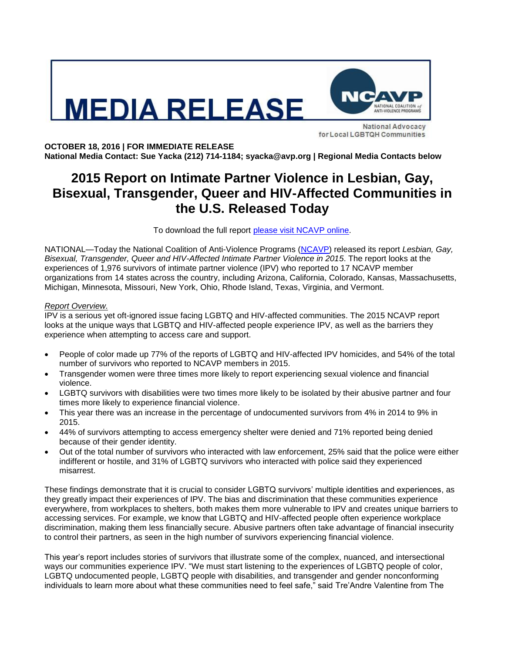# **IEDIA RELEASE**



**National Advocacy** for Local LGBTQH Communities

**OCTOBER 18, 2016 | FOR IMMEDIATE RELEASE National Media Contact: Sue Yacka (212) 714-1184; syacka@avp.org | Regional Media Contacts below**

# **2015 Report on Intimate Partner Violence in Lesbian, Gay, Bisexual, Transgender, Queer and HIV-Affected Communities in the U.S. Released Today**

To download the full report [please visit NCAVP online.](http://avp.org/about-avp/national-coalition-of-anti-violence-programs)

NATIONAL—Today the National Coalition of Anti-Violence Programs [\(NCAVP\)](http://www.ncavp.org/) released its report *Lesbian, Gay, Bisexual, Transgender, Queer and HIV-Affected Intimate Partner Violence in 2015*. The report looks at the experiences of 1,976 survivors of intimate partner violence (IPV) who reported to 17 NCAVP member organizations from 14 states across the country, including Arizona, California, Colorado, Kansas, Massachusetts, Michigan, Minnesota, Missouri, New York, Ohio, Rhode Island, Texas, Virginia, and Vermont.

# *Report Overview.*

IPV is a serious yet oft-ignored issue facing LGBTQ and HIV-affected communities. The 2015 NCAVP report looks at the unique ways that LGBTQ and HIV-affected people experience IPV, as well as the barriers they experience when attempting to access care and support.

- People of color made up 77% of the reports of LGBTQ and HIV-affected IPV homicides, and 54% of the total number of survivors who reported to NCAVP members in 2015.
- Transgender women were three times more likely to report experiencing sexual violence and financial violence.
- LGBTQ survivors with disabilities were two times more likely to be isolated by their abusive partner and four times more likely to experience financial violence.
- This year there was an increase in the percentage of undocumented survivors from 4% in 2014 to 9% in 2015.
- 44% of survivors attempting to access emergency shelter were denied and 71% reported being denied because of their gender identity.
- Out of the total number of survivors who interacted with law enforcement, 25% said that the police were either indifferent or hostile, and 31% of LGBTQ survivors who interacted with police said they experienced misarrest.

These findings demonstrate that it is crucial to consider LGBTQ survivors' multiple identities and experiences, as they greatly impact their experiences of IPV. The bias and discrimination that these communities experience everywhere, from workplaces to shelters, both makes them more vulnerable to IPV and creates unique barriers to accessing services. For example, we know that LGBTQ and HIV-affected people often experience workplace discrimination, making them less financially secure. Abusive partners often take advantage of financial insecurity to control their partners, as seen in the high number of survivors experiencing financial violence.

This year's report includes stories of survivors that illustrate some of the complex, nuanced, and intersectional ways our communities experience IPV. "We must start listening to the experiences of LGBTQ people of color, LGBTQ undocumented people, LGBTQ people with disabilities, and transgender and gender nonconforming individuals to learn more about what these communities need to feel safe," said Tre'Andre Valentine from The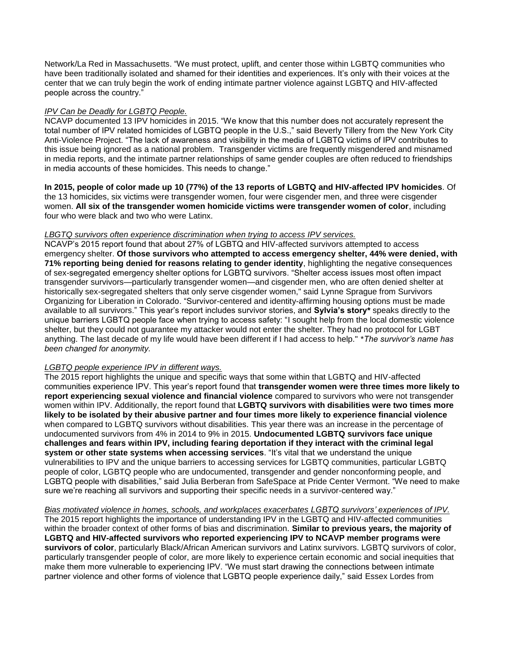Network/La Red in Massachusetts. "We must protect, uplift, and center those within LGBTQ communities who have been traditionally isolated and shamed for their identities and experiences. It's only with their voices at the center that we can truly begin the work of ending intimate partner violence against LGBTQ and HIV-affected people across the country."

# *IPV Can be Deadly for LGBTQ People.*

NCAVP documented 13 IPV homicides in 2015. "We know that this number does not accurately represent the total number of IPV related homicides of LGBTQ people in the U.S.," said Beverly Tillery from the New York City Anti-Violence Project. "The lack of awareness and visibility in the media of LGBTQ victims of IPV contributes to this issue being ignored as a national problem. Transgender victims are frequently misgendered and misnamed in media reports, and the intimate partner relationships of same gender couples are often reduced to friendships in media accounts of these homicides. This needs to change."

**In 2015, people of color made up 10 (77%) of the 13 reports of LGBTQ and HIV-affected IPV homicides**. Of the 13 homicides, six victims were transgender women, four were cisgender men, and three were cisgender women. **All six of the transgender women homicide victims were transgender women of color**, including four who were black and two who were Latinx.

# *LBGTQ survivors often experience discrimination when trying to access IPV services.*

NCAVP's 2015 report found that about 27% of LGBTQ and HIV-affected survivors attempted to access emergency shelter. **Of those survivors who attempted to access emergency shelter, 44% were denied, with 71% reporting being denied for reasons relating to gender identity**, highlighting the negative consequences of sex-segregated emergency shelter options for LGBTQ survivors. "Shelter access issues most often impact transgender survivors—particularly transgender women—and cisgender men, who are often denied shelter at historically sex-segregated shelters that only serve cisgender women," said Lynne Sprague from Survivors Organizing for Liberation in Colorado. "Survivor-centered and identity-affirming housing options must be made available to all survivors." This year's report includes survivor stories, and **Sylvia's story\*** speaks directly to the unique barriers LGBTQ people face when trying to access safety: "I sought help from the local domestic violence shelter, but they could not guarantee my attacker would not enter the shelter. They had no protocol for LGBT anything. The last decade of my life would have been different if I had access to help." \**The survivor's name has been changed for anonymity.* 

### *LGBTQ people experience IPV in different ways.*

The 2015 report highlights the unique and specific ways that some within that LGBTQ and HIV-affected communities experience IPV. This year's report found that **transgender women were three times more likely to report experiencing sexual violence and financial violence** compared to survivors who were not transgender women within IPV. Additionally, the report found that **LGBTQ survivors with disabilities were two times more likely to be isolated by their abusive partner and four times more likely to experience financial violence** when compared to LGBTQ survivors without disabilities. This year there was an increase in the percentage of undocumented survivors from 4% in 2014 to 9% in 2015. **Undocumented LGBTQ survivors face unique challenges and fears within IPV, including fearing deportation if they interact with the criminal legal system or other state systems when accessing services**. "It's vital that we understand the unique vulnerabilities to IPV and the unique barriers to accessing services for LGBTQ communities, particular LGBTQ people of color, LGBTQ people who are undocumented, transgender and gender nonconforming people, and LGBTQ people with disabilities," said Julia Berberan from SafeSpace at Pride Center Vermont. "We need to make sure we're reaching all survivors and supporting their specific needs in a survivor-centered way."

*Bias motivated violence in homes, schools, and workplaces exacerbates LGBTQ survivors' experiences of IPV.* The 2015 report highlights the importance of understanding IPV in the LGBTQ and HIV-affected communities within the broader context of other forms of bias and discrimination. **Similar to previous years, the majority of LGBTQ and HIV-affected survivors who reported experiencing IPV to NCAVP member programs were survivors of color**, particularly Black/African American survivors and Latinx survivors. LGBTQ survivors of color, particularly transgender people of color, are more likely to experience certain economic and social inequities that make them more vulnerable to experiencing IPV. "We must start drawing the connections between intimate partner violence and other forms of violence that LGBTQ people experience daily," said Essex Lordes from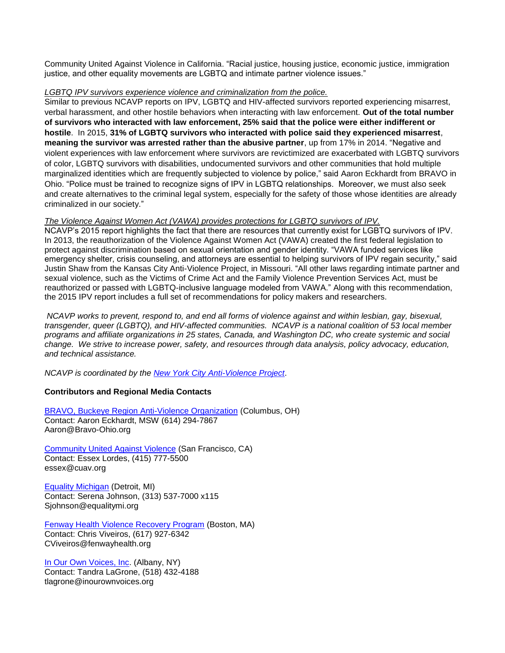Community United Against Violence in California. "Racial justice, housing justice, economic justice, immigration justice, and other equality movements are LGBTQ and intimate partner violence issues."

### *LGBTQ IPV survivors experience violence and criminalization from the police.*

Similar to previous NCAVP reports on IPV, LGBTQ and HIV-affected survivors reported experiencing misarrest, verbal harassment, and other hostile behaviors when interacting with law enforcement. **Out of the total number of survivors who interacted with law enforcement, 25% said that the police were either indifferent or hostile**. In 2015, **31% of LGBTQ survivors who interacted with police said they experienced misarrest**, **meaning the survivor was arrested rather than the abusive partner**, up from 17% in 2014. "Negative and violent experiences with law enforcement where survivors are revictimized are exacerbated with LGBTQ survivors of color, LGBTQ survivors with disabilities, undocumented survivors and other communities that hold multiple marginalized identities which are frequently subjected to violence by police," said Aaron Eckhardt from BRAVO in Ohio. "Police must be trained to recognize signs of IPV in LGBTQ relationships. Moreover, we must also seek and create alternatives to the criminal legal system, especially for the safety of those whose identities are already criminalized in our society."

### *The Violence Against Women Act (VAWA) provides protections for LGBTQ survivors of IPV.*

NCAVP's 2015 report highlights the fact that there are resources that currently exist for LGBTQ survivors of IPV. In 2013, the reauthorization of the Violence Against Women Act (VAWA) created the first federal legislation to protect against discrimination based on sexual orientation and gender identity. "VAWA funded services like emergency shelter, crisis counseling, and attorneys are essential to helping survivors of IPV regain security," said Justin Shaw from the Kansas City Anti-Violence Project, in Missouri. "All other laws regarding intimate partner and sexual violence, such as the Victims of Crime Act and the Family Violence Prevention Services Act, must be reauthorized or passed with LGBTQ-inclusive language modeled from VAWA." Along with this recommendation, the 2015 IPV report includes a full set of recommendations for policy makers and researchers.

*NCAVP works to prevent, respond to, and end all forms of violence against and within lesbian, gay, bisexual, transgender, queer (LGBTQ), and HIV-affected communities. NCAVP is a national coalition of 53 local member programs and affiliate organizations in 25 states, Canada, and Washington DC, who create systemic and social change. We strive to increase power, safety, and resources through data analysis, policy advocacy, education, and technical assistance.* 

*NCAVP is coordinated by the [New York City Anti-Violence Project](http://avp.org/)*.

### **Contributors and Regional Media Contacts**

[BRAVO, Buckeye Region Anti-Violence Organization](http://www.bravo-ohio.org/) (Columbus, OH) Contact: Aaron Eckhardt, MSW (614) 294-7867 Aaron@Bravo-Ohio.org

[Community United Against Violence](http://www.cuav.org/) (San Francisco, CA) Contact: Essex Lordes, (415) 777-5500 essex@cuav.org

[Equality Michigan](http://equalitymi.org/) (Detroit, MI) Contact: Serena Johnson, (313) 537-7000 x115 Sjohnson@equalitymi.org

[Fenway Health](http://www.fenwayhealth.org/site/PageServer?pagename=FCHC_srv_services_violence) Violence Recovery Program (Boston, MA) Contact: Chris Viveiros, (617) 927-6342 [CViveiros@fenwayhealth.org](mailto:CViveiros@fenwayhealth.org)

[In Our Own Voices, Inc.](http://inourownvoices.org/) (Albany, NY) Contact: Tandra LaGrone, (518) 432-4188 tlagrone@inourownvoices.org